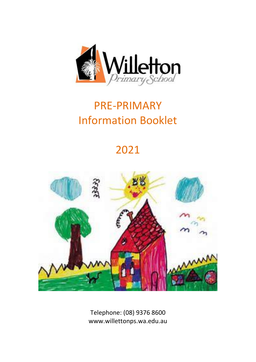

# PRE-PRIMARY Information Booklet

# 2021



Telephone: (08) 9376 8600 www.willettonps.wa.edu.au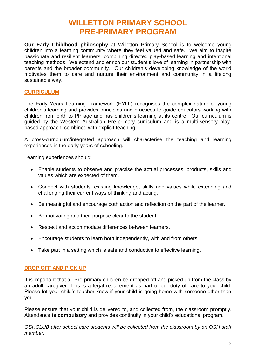### **WILLETTON PRIMARY SCHOOL PRE-PRIMARY PROGRAM**

**Our Early Childhood philosophy** at Willetton Primary School is to welcome young children into a learning community where they feel valued and safe. We aim to inspire passionate and resilient learners, combining directed play-based learning and intentional teaching methods. We extend and enrich our student's love of learning in partnership with parents and the broader community. Our children's developing knowledge of the world motivates them to care and nurture their environment and community in a lifelong sustainable way.

#### **CURRICULUM**

The Early Years Learning Framework (EYLF) recognises the complex nature of young children's learning and provides principles and practices to guide educators working with children from birth to PP age and has children's learning at its centre. Our curriculum is guided by the Western Australian Pre-primary curriculum and is a multi-sensory playbased approach, combined with explicit teaching.

A cross-curriculum/integrated approach will characterise the teaching and learning experiences in the early years of schooling.

Learning experiences should:

- Enable students to observe and practise the actual processes, products, skills and values which are expected of them.
- Connect with students' existing knowledge, skills and values while extending and challenging their current ways of thinking and acting.
- Be meaningful and encourage both action and reflection on the part of the learner.
- Be motivating and their purpose clear to the student.
- Respect and accommodate differences between learners.
- Encourage students to learn both independently, with and from others.
- Take part in a setting which is safe and conductive to effective learning.

#### **DROP OFF AND PICK UP**

It is important that all Pre-primary children be dropped off and picked up from the class by an adult caregiver. This is a legal requirement as part of our duty of care to your child. Please let your child's teacher know if your child is going home with someone other than you.

Please ensure that your child is delivered to, and collected from, the classroom promptly. Attendance **is compulsory** and provides continuity in your child's educational program.

*OSHCLUB after school care students will be collected from the classroom by an OSH staff member.*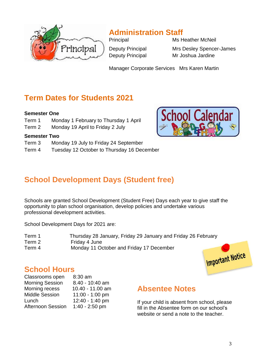

# **Administration Staff**

Deputy Principal Mr Joshua Jardine

Principal Ms Heather McNeil Deputy Principal Mrs Desley Spencer-James

Manager Corporate Services Mrs Karen Martin

## **Term Dates for Students 2021**

#### **Semester One**

- Term 1 Monday 1 February to Thursday 1 April
- Term 2 Monday 19 April to Friday 2 July

#### **Semester Two**

- Term 3 Monday 19 July to Friday 24 September
- Term 4 Tuesday 12 October to Thursday 16 December summary of an interesting point. You can interest point. You can interest point. You can interest point. You c



# **School Development Days (Student free)**

Schools are granted School Development (Student Free) Days each year to give staff the opportunity to plan school organisation, develop policies and undertake various professional development activities.

School Development Days for 2021 are:

| Term 1 | Thursday 28 January, Friday 29 January and Friday 26 February |
|--------|---------------------------------------------------------------|
| Term 2 | Friday 4 June                                                 |
| Term 4 | Monday 11 October and Friday 17 December                      |



### **School Hours**

| $8:30$ am        |
|------------------|
| 8.40 - 10:40 am  |
| 10.40 - 11.00 am |
| 11:00 - 1:00 pm  |
| 12:40 - 1:40 pm  |
| $1:40 - 2:50$ pm |
|                  |

### **Absentee Notes**

If your child is absent from school, please fill in the Absentee form on our school's website or send a note to the teacher.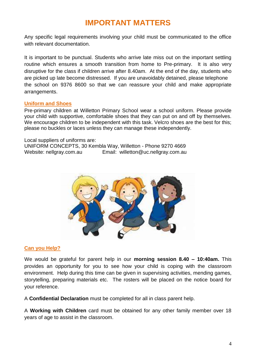## **IMPORTANT MATTERS**

Any specific legal requirements involving your child must be communicated to the office with relevant documentation.

It is important to be punctual. Students who arrive late miss out on the important settling routine which ensures a smooth transition from home to Pre-primary. It is also very disruptive for the class if children arrive after 8.40am. At the end of the day, students who are picked up late become distressed. If you are unavoidably detained, please telephone the school on 9376 8600 so that we can reassure your child and make appropriate arrangements.

#### **Uniform and Shoes**

Pre-primary children at Willetton Primary School wear a school uniform. Please provide your child with supportive, comfortable shoes that they can put on and off by themselves. We encourage children to be independent with this task. Velcro shoes are the best for this; please no buckles or laces unless they can manage these independently.

Local suppliers of uniforms are: UNIFORM CONCEPTS, 30 Kembla Way, Willetton - Phone 9270 4669 Website: nellgray.com.au Email: willetton@uc.nellgray.com.au



#### **Can you Help?**

We would be grateful for parent help in our **morning session 8.40 – 10:40am.** This provides an opportunity for you to see how your child is coping with the classroom environment. Help during this time can be given in supervising activities, mending games, storytelling, preparing materials etc. The rosters will be placed on the notice board for your reference.

A **Confidential Declaration** must be completed for all in class parent help.

A **Working with Children** card must be obtained for any other family member over 18 years of age to assist in the classroom.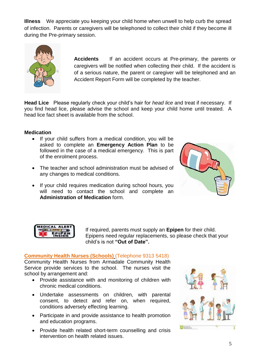**Illness** We appreciate you keeping your child home when unwell to help curb the spread of infection. Parents or caregivers will be telephoned to collect their child if they become ill during the Pre-primary session.



**Accidents** If an accident occurs at Pre-primary, the parents or caregivers will be notified when collecting their child. If the accident is of a serious nature, the parent or caregiver will be telephoned and an Accident Report Form will be completed by the teacher.

**Head Lice** Please regularly check your child's hair for *head lice* and treat if necessary. If you find head lice, please advise the school and keep your child home until treated. A head lice fact sheet is available from the school.

#### **Medication**

- If your child suffers from a medical condition, you will be asked to complete an **Emergency Action Plan** to be followed in the case of a medical emergency. This is part of the enrolment process.
- The teacher and school administration must be advised of any changes to medical conditions.
- If your child requires medication during school hours, you will need to contact the school and complete an **Administration of Medication** form.





If required, parents must supply an **Epipen** for their child. Epipens need regular replacements, so please check that your child's is not **"Out of Date".**

#### **Community Health Nurses (Schools)** (Telephone 9313 5418)

Community Health Nurses from Armadale Community Health Service provide services to the school. The nurses visit the school by arrangement and:

- Provide assistance with and monitoring of children with chronic medical conditions.
- Undertake assessments on children, with parental consent, to detect and refer on, when required, conditions adversely effecting learning.
- Participate in and provide assistance to health promotion and education programs.
- Provide health related short-term counselling and crisis intervention on health related issues.

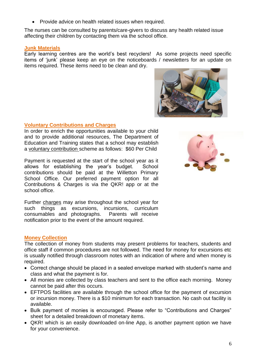• Provide advice on health related issues when required.

The nurses can be consulted by parents/care-givers to discuss any health related issue affecting their children by contacting them via the school office.

#### **Junk Materials**

Early learning centres are the world's best recyclers! As some projects need specific items of 'junk' please keep an eye on the noticeboards / newsletters for an update on items required. These items need to be clean and dry.

#### **Voluntary Contributions and Charges**

In order to enrich the opportunities available to your child and to provide additional resources, The Department of Education and Training states that a school may establish a voluntary contribution scheme as follows: \$60 Per Child

Payment is requested at the start of the school year as it allows for establishing the year's budget. School contributions should be paid at the Willetton Primary School Office. Our preferred payment option for all Contributions & Charges is via the QKR! app or at the school office.

Further charges may arise throughout the school year for such things as excursions, incursions, curriculum consumables and photographs. Parents will receive notification prior to the event of the amount required.

#### **Money Collection**

The collection of money from students may present problems for teachers, students and office staff if common procedures are not followed. The need for money for excursions etc is usually notified through classroom notes with an indication of where and when money is required.

- Correct change should be placed in a sealed envelope marked with student's name and class and what the payment is for.
- All monies are collected by class teachers and sent to the office each morning. Money cannot be paid after this occurs.
- EFTPOS facilities are available through the school office for the payment of excursion or incursion money. There is a \$10 minimum for each transaction. No cash out facility is available.
- Bulk payment of monies is encouraged. Please refer to "Contributions and Charges" sheet for a detailed breakdown of monetary items.
- QKR! which is an easily downloaded on-line App, is another payment option we have for your convenience.

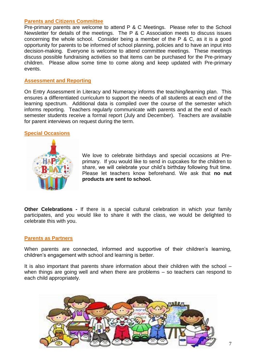#### **Parents and Citizens Committee**

Pre-primary parents are welcome to attend P & C Meetings. Please refer to the School Newsletter for details of the meetings. The P & C Association meets to discuss issues concerning the whole school. Consider being a member of the P & C, as it is a good opportunity for parents to be informed of school planning, policies and to have an input into decision-making. Everyone is welcome to attend committee meetings. These meetings discuss possible fundraising activities so that items can be purchased for the Pre-primary children. Please allow some time to come along and keep updated with Pre-primary events.

#### **Assessment and Reporting**

On Entry Assessment in Literacy and Numeracy informs the teaching/learning plan. This ensures a differentiated curriculum to support the needs of all students at each end of the learning spectrum. Additional data is compiled over the course of the semester which informs reporting. Teachers regularly communicate with parents and at the end of each semester students receive a formal report (July and December). Teachers are available for parent interviews on request during the term.

#### **Special Occasions**



We love to celebrate birthdays and special occasions at Preprimary. If you would like to send in cupcakes for the children to share, we will celebrate your child's birthday following fruit time. Please let teachers know beforehand. We ask that **no nut products are sent to school.**

**Other Celebrations -** If there is a special cultural celebration in which your family participates, and you would like to share it with the class, we would be delighted to celebrate this with you.

#### **Parents as Partners**

When parents are connected, informed and supportive of their children's learning, children's engagement with school and learning is better.

It is also important that parents share information about their children with the school – when things are going well and when there are problems – so teachers can respond to each child appropriately.

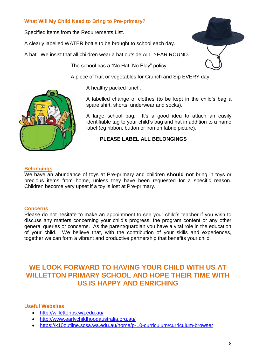#### **What Will My Child Need to Bring to Pre-primary?**

Specified items from the Requirements List.

A clearly labelled WATER bottle to be brought to school each day.

A hat. We insist that all children wear a hat outside ALL YEAR ROUND.

The school has a "No Hat, No Play" policy.

A piece of fruit or vegetables for Crunch and Sip EVERY day.

A healthy packed lunch.

A labelled change of clothes (to be kept in the child's bag a spare shirt, shorts, underwear and socks).

A large school bag. It's a good idea to attach an easily identifiable tag to your child's bag and hat in addition to a name label (eg ribbon, button or iron on fabric picture).

#### **PLEASE LABEL ALL BELONGINGS**

#### **Belongings**

We have an abundance of toys at Pre-primary and children **should not** bring in toys or precious items from home, unless they have been requested for a specific reason. Children become very upset if a toy is lost at Pre-primary.

#### **Concerns**

Please do not hesitate to make an appointment to see your child's teacher if you wish to discuss any matters concerning your child's progress, the program content or any other general queries or concerns. As the parent/guardian you have a vital role in the education of your child. We believe that, with the contribution of your skills and experiences, together we can form a vibrant and productive partnership that benefits your child.

### **WE LOOK FORWARD TO HAVING YOUR CHILD WITH US AT WILLETTON PRIMARY SCHOOL AND HOPE THEIR TIME WITH US IS HAPPY AND ENRICHING**

#### **Useful Websites**

- <http://willettonps.wa.edu.au/>
- <http://www.earlychildhoodaustralia.org.au/>
- <https://k10outline.scsa.wa.edu.au/home/p-10-curriculum/curriculum-browser>